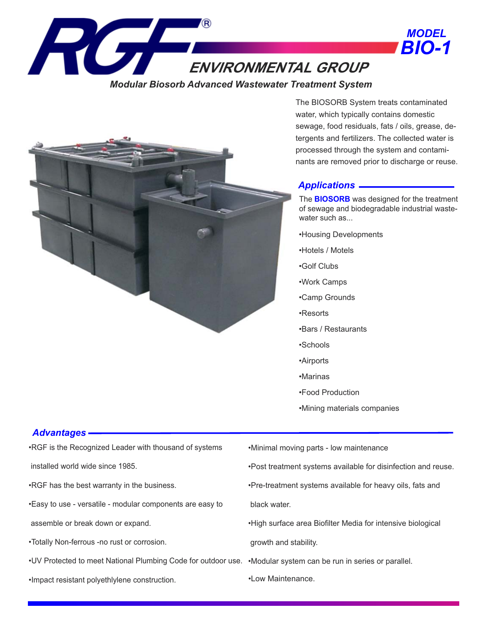

*Modular Biosorb Advanced Wastewater Treatment System*



The BIOSORB System treats contaminated water, which typically contains domestic sewage, food residuals, fats / oils, grease, detergents and fertilizers. The collected water is processed through the system and contaminants are removed prior to discharge or reuse.

## *Applications*

The **BIOSORB** was designed for the treatment of sewage and biodegradable industrial wastewater such as...

- •Housing Developments
- •Hotels / Motels
- •Golf Clubs
- •Work Camps
- •Camp Grounds
- •Resorts
- •Bars / Restaurants
- •Schools
- •Airports
- •Marinas
- •Food Production
- •Mining materials companies

## *Advantages*

•RGF is the Recognized Leader with thousand of systems

installed world wide since 1985.

•RGF has the best warranty in the business.

•Easy to use - versatile - modular components are easy to

assemble or break down or expand.

- •Totally Non-ferrous -no rust or corrosion.
- •UV Protected to meet National Plumbing Code for outdoor use. •Modular system can be run in series or parallel.
- •Impact resistant polyethlylene construction.
- •Minimal moving parts low maintenance
- •Post treatment systems available for disinfection and reuse.
- •Pre-treatment systems available for heavy oils, fats and black water.
- •High surface area Biofilter Media for intensive biological growth and stability.
- 
- •Low Maintenance.